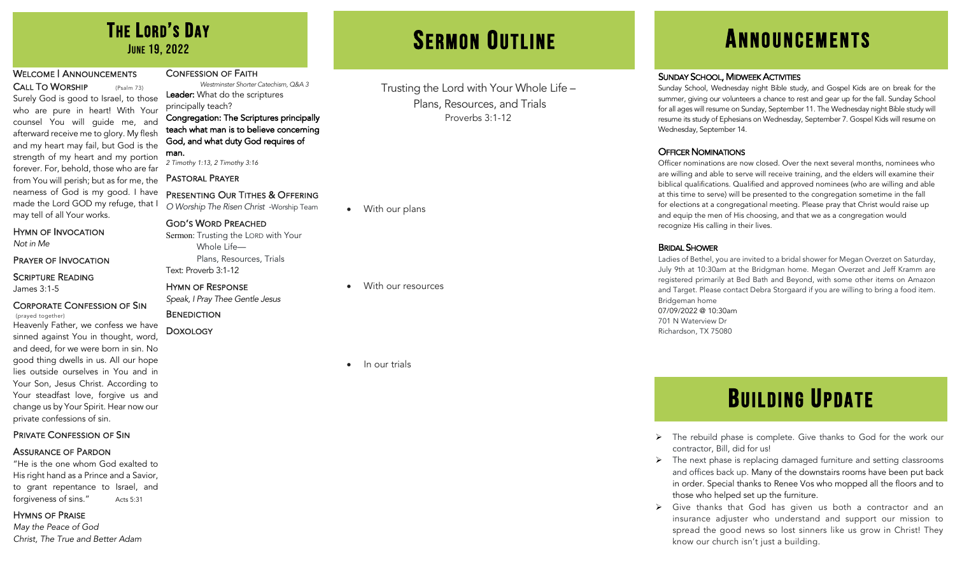### WELCOME | ANNOUNCEMENTS

CALL TO WORSHIP (Psalm 73) Surely God is good to Israel, to those who are pure in heart! With Your counsel You will guide me, and afterward receive me to glory. My flesh and my heart may fail, but God is the strength of my heart and my portion forever. For, behold, those who are far from You will perish; but as for me, the nearness of God is my good. I have made the Lord GOD my refuge, that I may tell of all Your works.

### HYMN OF INVOCATION

*Not in Me*

### PRAYER OF INVOCATION

### SCRIPTURE READING James 3:1-5

CORPORATE CONFESSION OF SIN

Heavenly Father, we confess we have sinned against You in thought, word, and deed, for we were born in sin. No good thing dwells in us. All our hope lies outside ourselves in You and in Your Son, Jesus Christ. According to Your steadfast love, forgive us and change us by Your Spirit. Hear now our private confessions of sin.

### PRIVATE CONFESSION OF SIN

### ASSURANCE OF PARDON

"He is the one whom God exalted to His right hand as a Prince and a Savior, to grant repentance to Israel, and forgiveness of sins." Acts 5:31

### HYMNS OF PRAISE

*May the Peace of God Christ, The True and Better Adam*

### CONFESSION OF FAITH

*Westminster Shorter Catechism, Q&A 3* Leader: What do the scriptures principally teach?

### Congregation: The Scriptures principally teach what man is to believe concerning God, and what duty God requires of man.

*2 Timothy 1:13, 2 Timothy 3:16*

### PASTORAL PRAYER

### PRESENTING OUR TITHES & OFFERING

*O Worship The Risen Christ* -Worship Team

### GOD'S WORD PREACHED

Sermon: Trusting the LORD with Your Whole Life— Plans, Resources, Trials Text: Proverb 3:1-12

### HYMN OF RESPONSE

*Speak, I Pray Thee Gentle Jesus*

### **BENEDICTION** DOXOLOGY

Trusting the Lord with Your Whole Life – Plans, Resources, and Trials Proverbs 3:1-12

• With our plans

• With our resources

### • In our trials

# THE LORD'S DAY **SERMON OUTLINE ANNOUNCEMENTS**

### **SUNDAY SCHOOL, MIDWEEK ACTIVITIES**

Sunday School, Wednesday night Bible study, and Gospel Kids are on break for the summer, giving our volunteers a chance to rest and gear up for the fall. Sunday School for all ages will resume on Sunday, September 11. The Wednesday night Bible study will resume its study of Ephesians on Wednesday, September 7. Gospel Kids will resume on Wednesday, September 14.

### **OFFICER NOMINATIONS**

Officer nominations are now closed. Over the next several months, nominees who are willing and able to serve will receive training, and the elders will examine their biblical qualifications. Qualified and approved nominees (who are willing and able at this time to serve) will be presented to the congregation sometime in the fall for elections at a congregational meeting. Please pray that Christ would raise up and equip the men of His choosing, and that we as a congregation would recognize His calling in their lives.

### BRIDAL SHOWER

Ladies of Bethel, you are invited to a bridal shower for Megan Overzet on Saturday, July 9th at 10:30am at the Bridgman home. Megan Overzet and Jeff Kramm are registered primarily at Bed Bath and Beyond, with some other items on Amazon and Target. Please contact Debra Storgaard if you are willing to bring a food item. Bridgeman home 07/09/2022 @ 10:30am 701 N Waterview Dr Richardson, TX 75080

# BUILDING UPDATE

- $\triangleright$  The rebuild phase is complete. Give thanks to God for the work our contractor, Bill, did for us!
- $\triangleright$  The next phase is replacing damaged furniture and setting classrooms and offices back up. Many of the downstairs rooms have been put back in order. Special thanks to Renee Vos who mopped all the floors and to those who helped set up the furniture.
- $\triangleright$  Give thanks that God has given us both a contractor and an insurance adjuster who understand and support our mission to spread the good news so lost sinners like us grow in Christ! They know our church isn't just a building.